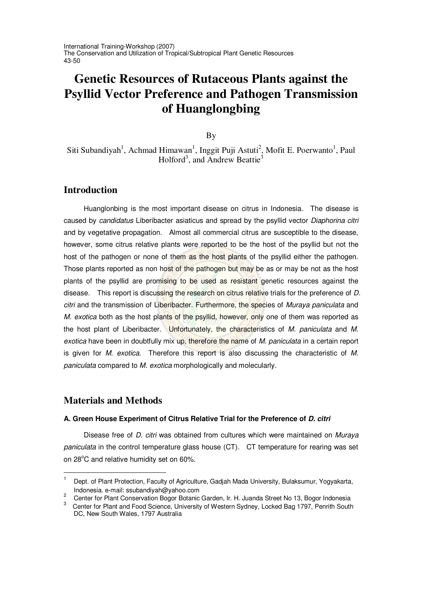International Training-Workshop (2007) The Conservation and Utilization of Tropical/Subtropical Plant Genetic Resources 43-50

# **Genetic Resources of Rutaceous Plants against the Psyllid Vector Preference and Pathogen Transmission of Huanglongbing**

By

Siti Subandiyah<sup>1</sup>, Achmad Himawan<sup>1</sup>, Inggit Puji Astuti<sup>2</sup>, Mofit E. Poerwanto<sup>1</sup>, Paul Holford<sup>3</sup>, and Andrew Beattie<sup>3</sup>

## **Introduction**

Huanglonbing is the most important disease on citrus in Indonesia. The disease is caused by *candidatus* Liberibacter asiaticus and spread by the psyllid vector *Diaphorina citri* and by vegetative propagation. Almost all commercial citrus are susceptible to the disease, however, some citrus relative plants were reported to be the host of the psyllid but not the host of the pathogen or none of them as the host plants of the psyllid either the pathogen. Those plants reported as non host of the pathogen but may be as or may be not as the host plants of the psyllid are promising to be used as resistant genetic resources against the disease. This report is discussing the research on citrus relative trials for the preference of *D. citri* and the transmission of Liberibacter. Furthermore, the species of *Muraya paniculata* and *M. exotica* both as the host plants of the psyllid, however, only one of them was reported as the host plant of Liberibacter. Unfortunately, the characteristics of *M. paniculata* and *M. exotica* have been in doubtfully mix up, therefore the name of *M. paniculata* in a certain report is given for *M. exotica.* Therefore this report is also discussing the characteristic of *M. paniculata* compared to *M. exotica* morphologically and molecularly.

## **Materials and Methods**

#### **A. Green House Experiment of Citrus Relative Trial for the Preference of** *D. citri*

Disease free of *D. citri* was obtained from cultures which were maintained on *Muraya paniculata* in the control temperature glass house (CT)*.* CT temperature for rearing was set on 28°C and relative humidity set on 60%.

<sup>1</sup> Dept. of Plant Protection, Faculty of Agriculture, Gadjah Mada University, Bulaksumur, Yogyakarta, Indonesia. e-mail: ssubandiyah@yahoo.com

<sup>&</sup>lt;sup>2</sup> Center for Plant Conservation Bogor Botanic Garden, Ir. H. Juanda Street No 13, Bogor Indonesia<br><sup>3</sup> Center for Plant and Ease Science, University of Western Sydney, Lecked Bog 1707, Boarith South

Center for Plant and Food Science, University of Western Sydney, Locked Bag 1797, Penrith South DC, New South Wales, 1797 Australia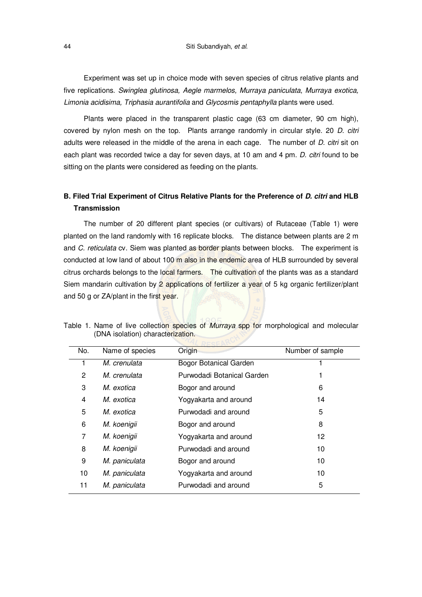Experiment was set up in choice mode with seven species of citrus relative plants and five replications. *Swinglea glutinosa, Aegle marmelos, Murraya paniculata*, *Murraya exotica, Limonia acidisima, Triphasia aurantifolia* and *Glycosmis pentaphylla* plants were used.

Plants were placed in the transparent plastic cage (63 cm diameter, 90 cm high), covered by nylon mesh on the top. Plants arrange randomly in circular style. 20 *D. citri* adults were released in the middle of the arena in each cage. The number of *D. citri* sit on each plant was recorded twice a day for seven days, at 10 am and 4 pm. *D. citri* found to be sitting on the plants were considered as feeding on the plants.

## **B. Filed Trial Experiment of Citrus Relative Plants for the Preference of** *D. citri* **and HLB Transmission**

The number of 20 different plant species (or cultivars) of Rutaceae (Table 1) were planted on the land randomly with 16 replicate blocks. The distance between plants are 2 m and *C. reticulata* cv. Siem was planted as border plants between blocks. The experiment is conducted at low land of about 100 m also in the endemic area of HLB surrounded by several citrus orchards belongs to the local farmers. The cultivation of the plants was as a standard Siem mandarin cultivation by 2 applications of fertilizer a year of 5 kg organic fertilizer/plant and 50 g or ZA/plant in the first year.

| No. | Name of species | Origin                        | Number of sample |
|-----|-----------------|-------------------------------|------------------|
| 1   | M. crenulata    | <b>Bogor Botanical Garden</b> |                  |
| 2   | M. crenulata    | Purwodadi Botanical Garden    |                  |
| 3   | M. exotica      | Bogor and around              | 6                |
| 4   | M. exotica      | Yogyakarta and around         | 14               |
| 5   | M. exotica      | Purwodadi and around          | 5                |
| 6   | M. koenigii     | Bogor and around              | 8                |
| 7   | M. koenigii     | Yogyakarta and around         | 12               |
| 8   | M. koenigii     | Purwodadi and around          | 10               |
| 9   | M. paniculata   | Bogor and around              | 10               |
| 10  | M. paniculata   | Yogyakarta and around         | 10               |
| 11  | M. paniculata   | Purwodadi and around          | 5                |
|     |                 |                               |                  |

Table 1. Name of live collection species of *Murraya* spp for morphological and molecular (DNA isolation) characterization.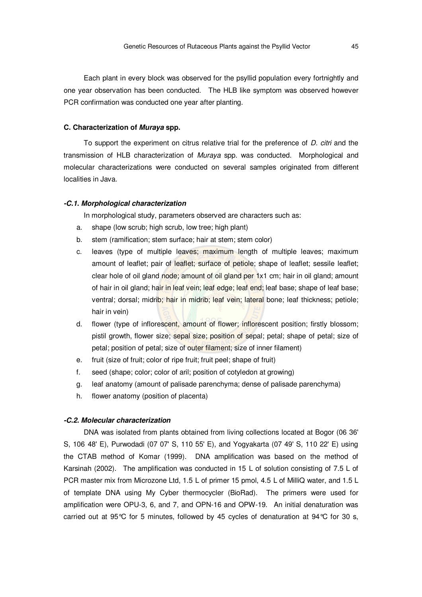Each plant in every block was observed for the psyllid population every fortnightly and one year observation has been conducted. The HLB like symptom was observed however PCR confirmation was conducted one year after planting.

#### **C. Characterization of** *Muraya* **spp.**

To support the experiment on citrus relative trial for the preference of *D. citri* and the transmission of HLB characterization of *Muraya* spp. was conducted. Morphological and molecular characterizations were conducted on several samples originated from different localities in Java.

#### *-C.1. Morphological characterization*

In morphological study, parameters observed are characters such as:

- a. shape (low scrub; high scrub, low tree; high plant)
- b. stem (ramification; stem surface; hair at stem; stem color)
- c. leaves (type of multiple leaves; maximum length of multiple leaves; maximum amount of leaflet; pair of leaflet; surface of petiole; shape of leaflet; sessile leaflet; clear hole of oil gland node; amount of oil gland per 1x1 cm; hair in oil gland; amount of hair in oil gland; hair in leaf vein; leaf edge; leaf end; leaf base; shape of leaf base; ventral; dorsal; midrib; hair in midrib; leaf vein; lateral bone; leaf thickness; petiole; hair in vein)
- d. flower (type of inflorescent, amount of flower; inflorescent position; firstly blossom; pistil growth, flower size; sepal size; position of sepal; petal; shape of petal; size of petal; position of petal; size of outer filament; size of inner filament)
- e. fruit (size of fruit; color of ripe fruit; fruit peel; shape of fruit)
- f. seed (shape; color; color of aril; position of cotyledon at growing)
- g. leaf anatomy (amount of palisade parenchyma; dense of palisade parenchyma)
- h. flower anatomy (position of placenta)

#### *-C.2. Molecular characterization*

DNA was isolated from plants obtained from living collections located at Bogor (06 36' S, 106 48' E), Purwodadi (07 07' S, 110 55' E), and Yogyakarta (07 49' S, 110 22' E) using the CTAB method of Komar (1999). DNA amplification was based on the method of Karsinah (2002). The amplification was conducted in 15 L of solution consisting of 7.5 L of PCR master mix from Microzone Ltd, 1.5 L of primer 15 pmol, 4.5 L of MilliQ water, and 1.5 L of template DNA using My Cyber thermocycler (BioRad). The primers were used for amplification were OPU-3, 6, and 7, and OPN-16 and OPW-19. An initial denaturation was carried out at 95 °C for 5 minutes, followed by 45 cycles of denaturation at 94 °C for 30 s,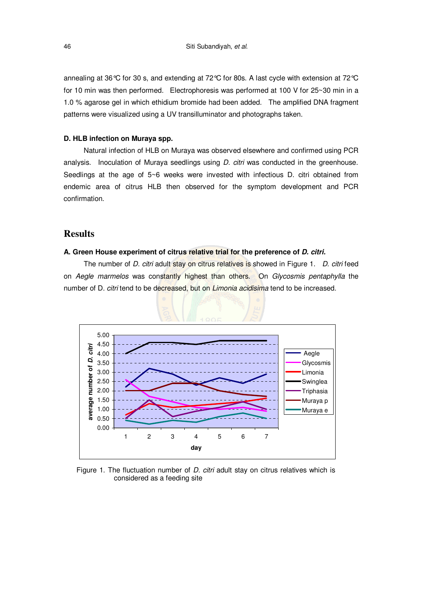annealing at 36°C for 30 s, and extending at 72°C for 80s. A last cycle with extension at 72°C for 10 min was then performed. Electrophoresis was performed at 100 V for 25~30 min in a 1.0 % agarose gel in which ethidium bromide had been added. The amplified DNA fragment patterns were visualized using a UV transilluminator and photographs taken.

#### **D. HLB infection on Muraya spp.**

Natural infection of HLB on Muraya was observed elsewhere and confirmed using PCR analysis. Inoculation of Muraya seedlings using *D. citri* was conducted in the greenhouse. Seedlings at the age of 5~6 weeks were invested with infectious D. citri obtained from endemic area of citrus HLB then observed for the symptom development and PCR confirmation.

## **Results**

#### **A. Green House experiment of citrus relative trial for the preference of** *D. citri.*

The number of *D. citri* adult stay on citrus relatives is showed in Figure 1. *D. citri* feed on *Aegle marmelos* was constantly highest than others. On *Glycosmis pentaphylla* the number of D*. citri* tend to be decreased, but on *Limonia acidisima* tend to be increased.



Figure 1. The fluctuation number of *D. citri* adult stay on citrus relatives which is considered as a feeding site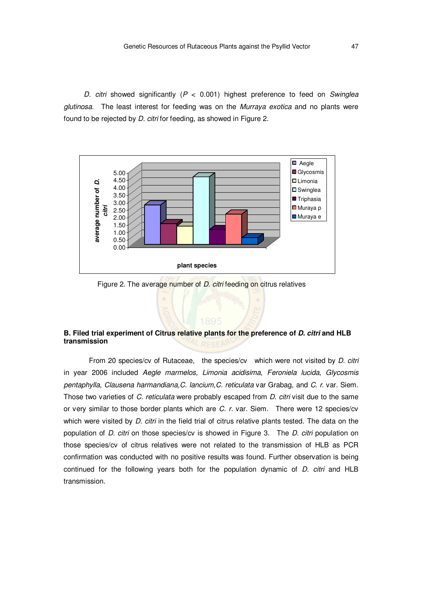*D. citri* showed significantly (*P* < 0.001) highest preference to feed on *Swinglea glutinosa*. The least interest for feeding was on the *Murraya exotica* and no plants were found to be rejected by *D. citri* for feeding, as showed in Figure 2.



Figure 2. The average number of *D. citri* feeding on citrus relatives

#### **B. Filed trial experiment of Citrus relative plants for the preference of** *D. citri* **and HLB transmission**

From 20 species/cv of Rutaceae, the species/cv which were not visited by *D. citri* in year 2006 included *Aegle marmelos, Limonia acidisima*, *Feroniela lucida*, *Glycosmis pentaphylla*, *Clausena harmandiana,C. lancium,C. reticulata* var Grabag, and *C. r*. var. Siem. Those two varieties of *C. reticulata* were probably escaped from *D. citri* visit due to the same or very similar to those border plants which are *C. r.* var. Siem. There were 12 species/cv which were visited by *D. citri* in the field trial of citrus relative plants tested. The data on the population of *D. citri* on those species/cv is showed in Figure 3. The *D. citri* population on those species/cv of citrus relatives were not related to the transmission of HLB as PCR confirmation was conducted with no positive results was found. Further observation is being continued for the following years both for the population dynamic of *D. citri* and HLB transmission.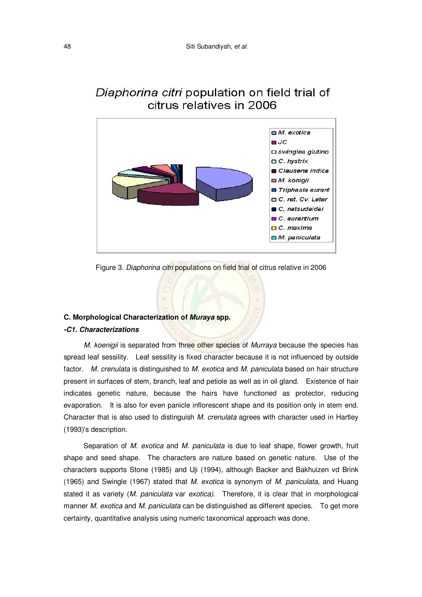

## Diaphorina citri population on field trial of citrus relatives in 2006

Figure 3. *Diaphorina citri* populations on field trial of citrus relative in 2006

#### **C. Morphological Characterization of** *Muraya* **spp.**

#### *-C1. Characterizations*

*M. koenigii* is separated from three other species of *Murraya* because the species has spread leaf sessility. Leaf sessility is fixed character because it is not influenced by outside factor. *M. crenulata* is distinguished to *M. exotica* and *M. paniculata* based on hair structure present in surfaces of stem, branch, leaf and petiole as well as in oil gland. Existence of hair indicates genetic nature, because the hairs have functioned as protector, reducing evaporation. It is also for even panicle inflorescent shape and its position only in stem end. Character that is also used to distinguish *M. crenulata* agrees with character used in Hartley (1993)'s description.

Separation of *M. exotica* and *M. paniculata* is due to leaf shape, flower growth, fruit shape and seed shape. The characters are nature based on genetic nature. Use of the characters supports Stone (1985) and Uji (1994), although Backer and Bakhuizen vd Brink (1965) and Swingle (1967) stated that *M. exotica* is synonym of *M. paniculata*, and Huang stated it as variety (*M. paniculata* var *exotica)*. Therefore, it is clear that in morphological manner *M. exotica* and *M. paniculata* can be distinguished as different species. To get more certainty, quantitative analysis using numeric taxonomical approach was done.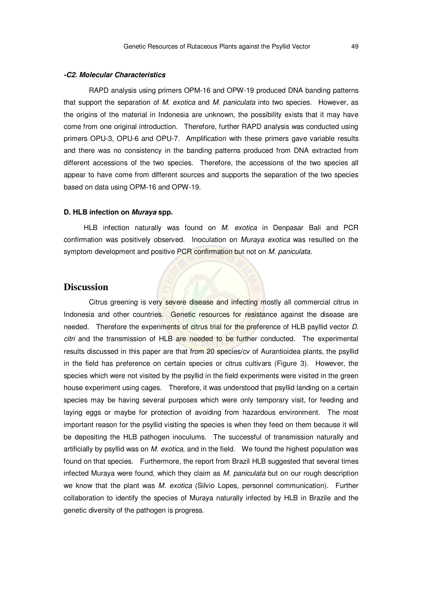#### *-C2. Molecular Characteristics*

RAPD analysis using primers OPM-16 and OPW-19 produced DNA banding patterns that support the separation of *M. exotica* and *M. paniculata* into two species. However, as the origins of the material in Indonesia are unknown, the possibility exists that it may have come from one original introduction. Therefore, further RAPD analysis was conducted using primers OPU-3, OPU-6 and OPU-7. Amplification with these primers gave variable results and there was no consistency in the banding patterns produced from DNA extracted from different accessions of the two species. Therefore, the accessions of the two species all appear to have come from different sources and supports the separation of the two species based on data using OPM-16 and OPW-19.

#### **D. HLB infection on** *Muraya* **spp.**

HLB infection naturally was found on *M. exotica* in Denpasar Bali and PCR confirmation was positively observed. Inoculation on *Muraya exotica* was resulted on the symptom development and positive PCR confirmation but not on *M. paniculata*.

#### **Discussion**

Citrus greening is very severe disease and infecting mostly all commercial citrus in Indonesia and other countries. Genetic resources for resistance against the disease are needed. Therefore the experiments of citrus trial for the preference of HLB psyllid vector *D. citri* and the transmission of HLB are needed to be further conducted. The experimental results discussed in this paper are that from 20 species/cv of Aurantioidea plants, the psyllid in the field has preference on certain species or citrus cultivars (Figure 3). However, the species which were not visited by the psyllid in the field experiments were visited in the green house experiment using cages. Therefore, it was understood that psyllid landing on a certain species may be having several purposes which were only temporary visit, for feeding and laying eggs or maybe for protection of avoiding from hazardous environment. The most important reason for the psyllid visiting the species is when they feed on them because it will be depositing the HLB pathogen inoculums. The successful of transmission naturally and artificially by psyllid was on *M. exotica*, and in the field. We found the highest population was found on that species. Furthermore, the report from Brazil HLB suggested that several times infected Muraya were found, which they claim as *M. paniculata* but on our rough description we know that the plant was *M. exotica* (Silvio Lopes, personnel communication). Further collaboration to identify the species of Muraya naturally infected by HLB in Brazile and the genetic diversity of the pathogen is progress.